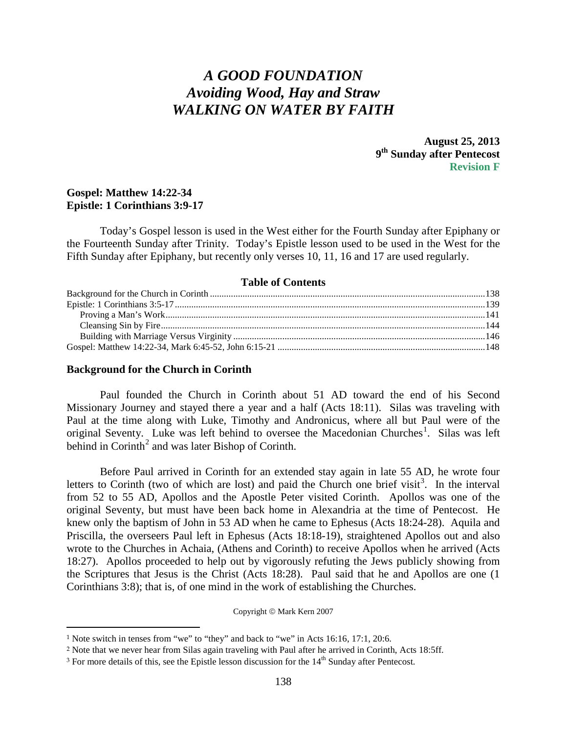# *A GOOD FOUNDATION Avoiding Wood, Hay and Straw WALKING ON WATER BY FAITH*

**August 25, 2013 9th Sunday after Pentecost Revision F**

## **Gospel: Matthew 14:22-34 Epistle: 1 Corinthians 3:9-17**

Today's Gospel lesson is used in the West either for the Fourth Sunday after Epiphany or the Fourteenth Sunday after Trinity. Today's Epistle lesson used to be used in the West for the Fifth Sunday after Epiphany, but recently only verses 10, 11, 16 and 17 are used regularly.

#### **Table of Contents**

#### <span id="page-0-0"></span>**Background for the Church in Corinth**

 $\overline{a}$ 

Paul founded the Church in Corinth about 51 AD toward the end of his Second Missionary Journey and stayed there a year and a half (Acts 18:11). Silas was traveling with Paul at the time along with Luke, Timothy and Andronicus, where all but Paul were of the original Seventy. Luke was left behind to oversee the Macedonian Churches<sup>[1](#page-0-1)</sup>. Silas was left behind in  $Corinth<sup>2</sup>$  $Corinth<sup>2</sup>$  $Corinth<sup>2</sup>$  and was later Bishop of Corinth.

Before Paul arrived in Corinth for an extended stay again in late 55 AD, he wrote four letters to Corinth (two of which are lost) and paid the Church one brief visit<sup>[3](#page-0-3)</sup>. In the interval from 52 to 55 AD, Apollos and the Apostle Peter visited Corinth. Apollos was one of the original Seventy, but must have been back home in Alexandria at the time of Pentecost. He knew only the baptism of John in 53 AD when he came to Ephesus (Acts 18:24-28). Aquila and Priscilla, the overseers Paul left in Ephesus (Acts 18:18-19), straightened Apollos out and also wrote to the Churches in Achaia, (Athens and Corinth) to receive Apollos when he arrived (Acts 18:27). Apollos proceeded to help out by vigorously refuting the Jews publicly showing from the Scriptures that Jesus is the Christ (Acts 18:28). Paul said that he and Apollos are one (1 Corinthians 3:8); that is, of one mind in the work of establishing the Churches.

Copyright © Mark Kern 2007

<span id="page-0-1"></span><sup>1</sup> Note switch in tenses from "we" to "they" and back to "we" in Acts 16:16, 17:1, 20:6.

<span id="page-0-2"></span><sup>2</sup> Note that we never hear from Silas again traveling with Paul after he arrived in Corinth, Acts 18:5ff.

<span id="page-0-3"></span> $3$  For more details of this, see the Epistle lesson discussion for the  $14<sup>th</sup>$  Sunday after Pentecost.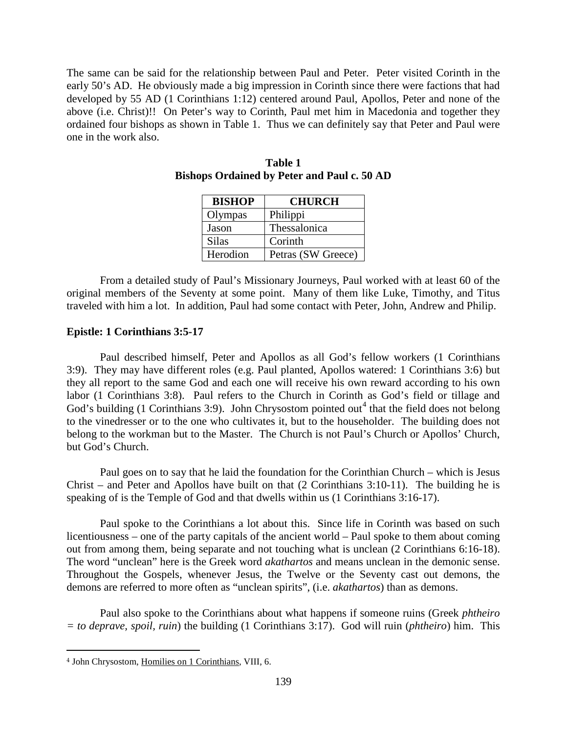The same can be said for the relationship between Paul and Peter. Peter visited Corinth in the early 50's AD. He obviously made a big impression in Corinth since there were factions that had developed by 55 AD (1 Corinthians 1:12) centered around Paul, Apollos, Peter and none of the above (i.e. Christ)!! On Peter's way to Corinth, Paul met him in Macedonia and together they ordained four bishops as shown in Table 1. Thus we can definitely say that Peter and Paul were one in the work also.

| <b>BISHOP</b> | <b>CHURCH</b>      |
|---------------|--------------------|
| Olympas       | Philippi           |
| Jason         | Thessalonica       |
| <b>Silas</b>  | Corinth            |
| Herodion      | Petras (SW Greece) |

**Table 1 Bishops Ordained by Peter and Paul c. 50 AD**

From a detailed study of Paul's Missionary Journeys, Paul worked with at least 60 of the original members of the Seventy at some point. Many of them like Luke, Timothy, and Titus traveled with him a lot. In addition, Paul had some contact with Peter, John, Andrew and Philip.

## <span id="page-1-0"></span>**Epistle: 1 Corinthians 3:5-17**

Paul described himself, Peter and Apollos as all God's fellow workers (1 Corinthians 3:9). They may have different roles (e.g. Paul planted, Apollos watered: 1 Corinthians 3:6) but they all report to the same God and each one will receive his own reward according to his own labor (1 Corinthians 3:8). Paul refers to the Church in Corinth as God's field or tillage and God's building (1 Corinthians 3:9). John Chrysostom pointed out<sup>[4](#page-1-1)</sup> that the field does not belong to the vinedresser or to the one who cultivates it, but to the householder. The building does not belong to the workman but to the Master. The Church is not Paul's Church or Apollos' Church, but God's Church.

Paul goes on to say that he laid the foundation for the Corinthian Church – which is Jesus Christ – and Peter and Apollos have built on that (2 Corinthians 3:10-11). The building he is speaking of is the Temple of God and that dwells within us (1 Corinthians 3:16-17).

Paul spoke to the Corinthians a lot about this. Since life in Corinth was based on such licentiousness – one of the party capitals of the ancient world – Paul spoke to them about coming out from among them, being separate and not touching what is unclean (2 Corinthians 6:16-18). The word "unclean" here is the Greek word *akathartos* and means unclean in the demonic sense. Throughout the Gospels, whenever Jesus, the Twelve or the Seventy cast out demons, the demons are referred to more often as "unclean spirits", (i.e. *akathartos*) than as demons.

Paul also spoke to the Corinthians about what happens if someone ruins (Greek *phtheiro = to deprave, spoil, ruin*) the building (1 Corinthians 3:17). God will ruin (*phtheiro*) him. This

<span id="page-1-1"></span> $\overline{a}$ <sup>4</sup> John Chrysostom, Homilies on 1 Corinthians, VIII, 6.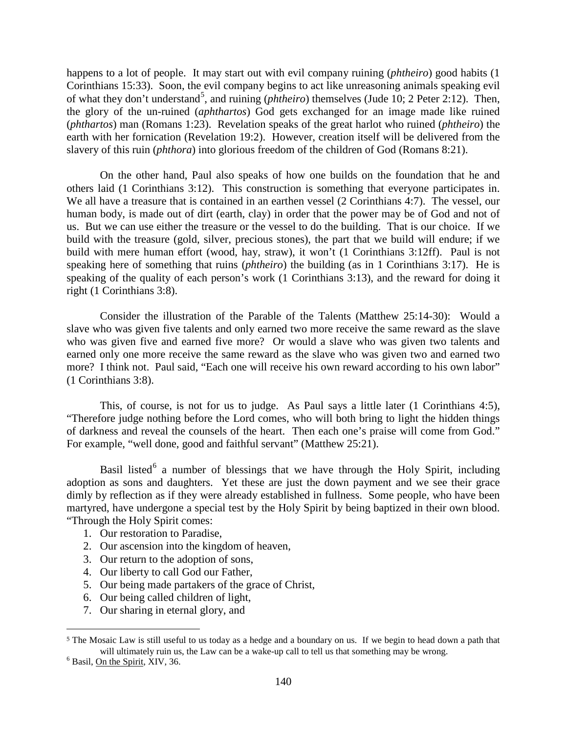happens to a lot of people. It may start out with evil company ruining (*phtheiro*) good habits (1 Corinthians 15:33). Soon, the evil company begins to act like unreasoning animals speaking evil of what they don't understand<sup>[5](#page-2-0)</sup>, and ruining (*phtheiro*) themselves (Jude 10; 2 Peter 2:12). Then, the glory of the un-ruined (*aphthartos*) God gets exchanged for an image made like ruined (*phthartos*) man (Romans 1:23). Revelation speaks of the great harlot who ruined (*phtheiro*) the earth with her fornication (Revelation 19:2). However, creation itself will be delivered from the slavery of this ruin (*phthora*) into glorious freedom of the children of God (Romans 8:21).

On the other hand, Paul also speaks of how one builds on the foundation that he and others laid (1 Corinthians 3:12). This construction is something that everyone participates in. We all have a treasure that is contained in an earthen vessel (2 Corinthians 4:7). The vessel, our human body, is made out of dirt (earth, clay) in order that the power may be of God and not of us. But we can use either the treasure or the vessel to do the building. That is our choice. If we build with the treasure (gold, silver, precious stones), the part that we build will endure; if we build with mere human effort (wood, hay, straw), it won't (1 Corinthians 3:12ff). Paul is not speaking here of something that ruins (*phtheiro*) the building (as in 1 Corinthians 3:17). He is speaking of the quality of each person's work (1 Corinthians 3:13), and the reward for doing it right (1 Corinthians 3:8).

Consider the illustration of the Parable of the Talents (Matthew 25:14-30): Would a slave who was given five talents and only earned two more receive the same reward as the slave who was given five and earned five more? Or would a slave who was given two talents and earned only one more receive the same reward as the slave who was given two and earned two more? I think not. Paul said, "Each one will receive his own reward according to his own labor" (1 Corinthians 3:8).

This, of course, is not for us to judge. As Paul says a little later (1 Corinthians 4:5), "Therefore judge nothing before the Lord comes, who will both bring to light the hidden things of darkness and reveal the counsels of the heart. Then each one's praise will come from God." For example, "well done, good and faithful servant" (Matthew 25:21).

Basil listed<sup>[6](#page-2-1)</sup> a number of blessings that we have through the Holy Spirit, including adoption as sons and daughters. Yet these are just the down payment and we see their grace dimly by reflection as if they were already established in fullness. Some people, who have been martyred, have undergone a special test by the Holy Spirit by being baptized in their own blood. "Through the Holy Spirit comes:

- 1. Our restoration to Paradise,
- 2. Our ascension into the kingdom of heaven,
- 3. Our return to the adoption of sons,
- 4. Our liberty to call God our Father,
- 5. Our being made partakers of the grace of Christ,
- 6. Our being called children of light,
- 7. Our sharing in eternal glory, and

<span id="page-2-0"></span><sup>5</sup> The Mosaic Law is still useful to us today as a hedge and a boundary on us. If we begin to head down a path that will ultimately ruin us, the Law can be a wake-up call to tell us that something may be wrong.<br><sup>6</sup> Basil, On the Spirit, XIV, 36.

<span id="page-2-1"></span>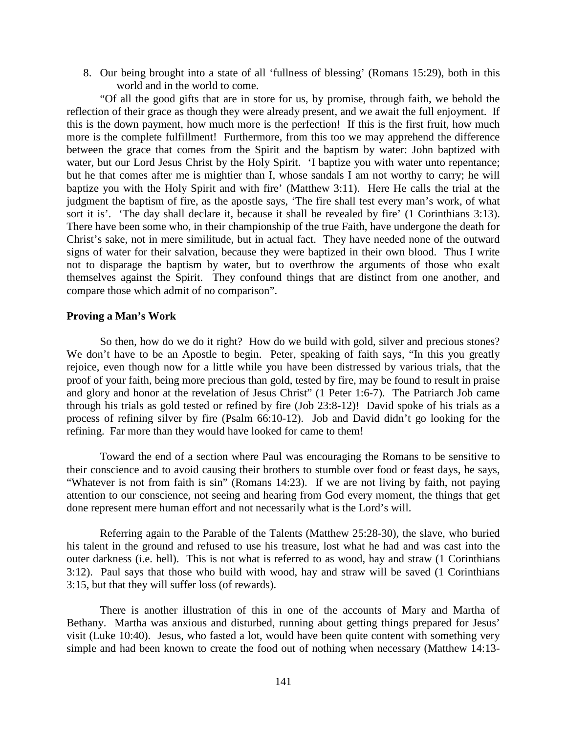8. Our being brought into a state of all 'fullness of blessing' (Romans 15:29), both in this world and in the world to come.

"Of all the good gifts that are in store for us, by promise, through faith, we behold the reflection of their grace as though they were already present, and we await the full enjoyment. If this is the down payment, how much more is the perfection! If this is the first fruit, how much more is the complete fulfillment! Furthermore, from this too we may apprehend the difference between the grace that comes from the Spirit and the baptism by water: John baptized with water, but our Lord Jesus Christ by the Holy Spirit. 'I baptize you with water unto repentance; but he that comes after me is mightier than I, whose sandals I am not worthy to carry; he will baptize you with the Holy Spirit and with fire' (Matthew 3:11). Here He calls the trial at the judgment the baptism of fire, as the apostle says, 'The fire shall test every man's work, of what sort it is'. 'The day shall declare it, because it shall be revealed by fire' (1 Corinthians 3:13). There have been some who, in their championship of the true Faith, have undergone the death for Christ's sake, not in mere similitude, but in actual fact. They have needed none of the outward signs of water for their salvation, because they were baptized in their own blood. Thus I write not to disparage the baptism by water, but to overthrow the arguments of those who exalt themselves against the Spirit. They confound things that are distinct from one another, and compare those which admit of no comparison".

#### <span id="page-3-0"></span>**Proving a Man's Work**

So then, how do we do it right? How do we build with gold, silver and precious stones? We don't have to be an Apostle to begin. Peter, speaking of faith says, "In this you greatly rejoice, even though now for a little while you have been distressed by various trials, that the proof of your faith, being more precious than gold, tested by fire, may be found to result in praise and glory and honor at the revelation of Jesus Christ" (1 Peter 1:6-7). The Patriarch Job came through his trials as gold tested or refined by fire (Job 23:8-12)! David spoke of his trials as a process of refining silver by fire (Psalm 66:10-12). Job and David didn't go looking for the refining. Far more than they would have looked for came to them!

Toward the end of a section where Paul was encouraging the Romans to be sensitive to their conscience and to avoid causing their brothers to stumble over food or feast days, he says, "Whatever is not from faith is sin" (Romans 14:23). If we are not living by faith, not paying attention to our conscience, not seeing and hearing from God every moment, the things that get done represent mere human effort and not necessarily what is the Lord's will.

Referring again to the Parable of the Talents (Matthew 25:28-30), the slave, who buried his talent in the ground and refused to use his treasure, lost what he had and was cast into the outer darkness (i.e. hell). This is not what is referred to as wood, hay and straw (1 Corinthians 3:12). Paul says that those who build with wood, hay and straw will be saved (1 Corinthians 3:15, but that they will suffer loss (of rewards).

There is another illustration of this in one of the accounts of Mary and Martha of Bethany. Martha was anxious and disturbed, running about getting things prepared for Jesus' visit (Luke 10:40). Jesus, who fasted a lot, would have been quite content with something very simple and had been known to create the food out of nothing when necessary (Matthew 14:13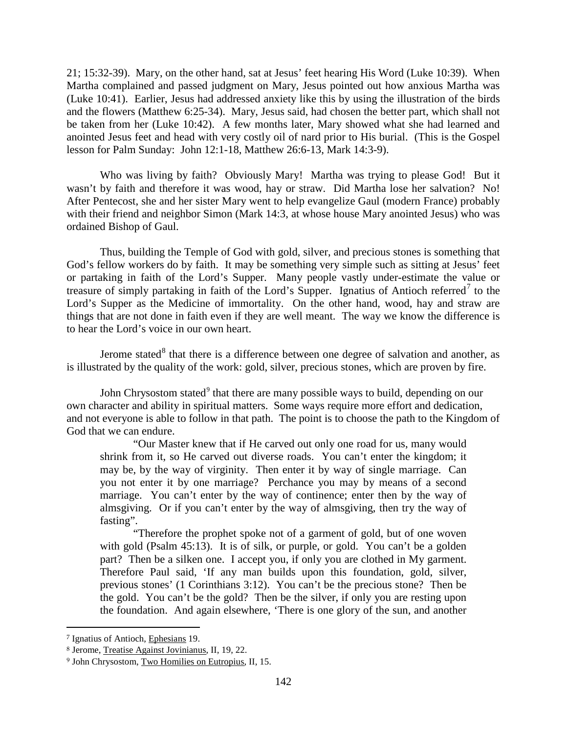21; 15:32-39). Mary, on the other hand, sat at Jesus' feet hearing His Word (Luke 10:39). When Martha complained and passed judgment on Mary, Jesus pointed out how anxious Martha was (Luke 10:41). Earlier, Jesus had addressed anxiety like this by using the illustration of the birds and the flowers (Matthew 6:25-34). Mary, Jesus said, had chosen the better part, which shall not be taken from her (Luke 10:42). A few months later, Mary showed what she had learned and anointed Jesus feet and head with very costly oil of nard prior to His burial. (This is the Gospel lesson for Palm Sunday: John 12:1-18, Matthew 26:6-13, Mark 14:3-9).

Who was living by faith? Obviously Mary! Martha was trying to please God! But it wasn't by faith and therefore it was wood, hay or straw. Did Martha lose her salvation? No! After Pentecost, she and her sister Mary went to help evangelize Gaul (modern France) probably with their friend and neighbor Simon (Mark 14:3, at whose house Mary anointed Jesus) who was ordained Bishop of Gaul.

Thus, building the Temple of God with gold, silver, and precious stones is something that God's fellow workers do by faith. It may be something very simple such as sitting at Jesus' feet or partaking in faith of the Lord's Supper. Many people vastly under-estimate the value or treasure of simply partaking in faith of the Lord's Supper. Ignatius of Antioch referred<sup>[7](#page-4-0)</sup> to the Lord's Supper as the Medicine of immortality. On the other hand, wood, hay and straw are things that are not done in faith even if they are well meant. The way we know the difference is to hear the Lord's voice in our own heart.

Jerome stated $8$  that there is a difference between one degree of salvation and another, as is illustrated by the quality of the work: gold, silver, precious stones, which are proven by fire.

John Chrysostom stated<sup>[9](#page-4-2)</sup> that there are many possible ways to build, depending on our own character and ability in spiritual matters. Some ways require more effort and dedication, and not everyone is able to follow in that path. The point is to choose the path to the Kingdom of God that we can endure.

"Our Master knew that if He carved out only one road for us, many would shrink from it, so He carved out diverse roads. You can't enter the kingdom; it may be, by the way of virginity. Then enter it by way of single marriage. Can you not enter it by one marriage? Perchance you may by means of a second marriage. You can't enter by the way of continence; enter then by the way of almsgiving. Or if you can't enter by the way of almsgiving, then try the way of fasting".

"Therefore the prophet spoke not of a garment of gold, but of one woven with gold (Psalm 45:13). It is of silk, or purple, or gold. You can't be a golden part? Then be a silken one. I accept you, if only you are clothed in My garment. Therefore Paul said, 'If any man builds upon this foundation, gold, silver, previous stones' (1 Corinthians 3:12). You can't be the precious stone? Then be the gold. You can't be the gold? Then be the silver, if only you are resting upon the foundation. And again elsewhere, 'There is one glory of the sun, and another

<span id="page-4-0"></span><sup>7</sup> Ignatius of Antioch, Ephesians 19.

<span id="page-4-1"></span><sup>8</sup> Jerome, Treatise Against Jovinianus, II, 19, 22.

<span id="page-4-2"></span><sup>9</sup> John Chrysostom, Two Homilies on Eutropius, II, 15.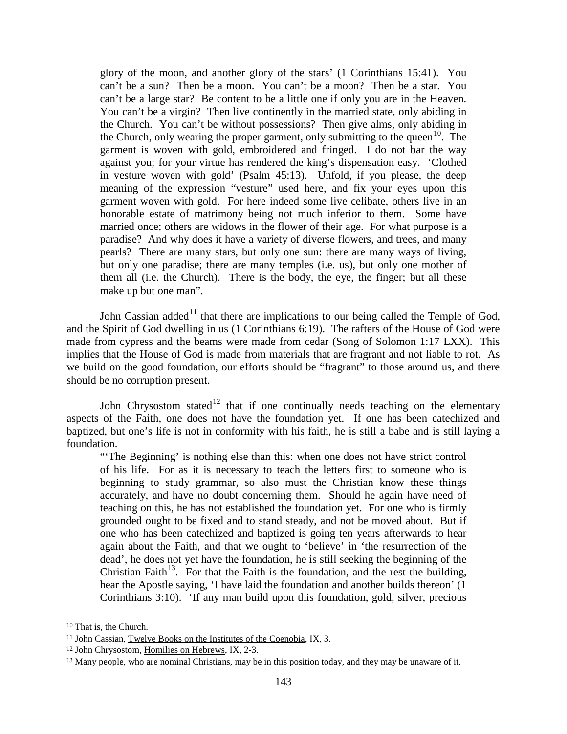glory of the moon, and another glory of the stars' (1 Corinthians 15:41). You can't be a sun? Then be a moon. You can't be a moon? Then be a star. You can't be a large star? Be content to be a little one if only you are in the Heaven. You can't be a virgin? Then live continently in the married state, only abiding in the Church. You can't be without possessions? Then give alms, only abiding in the Church, only wearing the proper garment, only submitting to the queen<sup>10</sup>. The garment is woven with gold, embroidered and fringed. I do not bar the way against you; for your virtue has rendered the king's dispensation easy. 'Clothed in vesture woven with gold' (Psalm 45:13). Unfold, if you please, the deep meaning of the expression "vesture" used here, and fix your eyes upon this garment woven with gold. For here indeed some live celibate, others live in an honorable estate of matrimony being not much inferior to them. Some have married once; others are widows in the flower of their age. For what purpose is a paradise? And why does it have a variety of diverse flowers, and trees, and many pearls? There are many stars, but only one sun: there are many ways of living, but only one paradise; there are many temples (i.e. us), but only one mother of them all (i.e. the Church). There is the body, the eye, the finger; but all these make up but one man".

John Cassian added<sup>[11](#page-5-1)</sup> that there are implications to our being called the Temple of God, and the Spirit of God dwelling in us (1 Corinthians 6:19). The rafters of the House of God were made from cypress and the beams were made from cedar (Song of Solomon 1:17 LXX). This implies that the House of God is made from materials that are fragrant and not liable to rot. As we build on the good foundation, our efforts should be "fragrant" to those around us, and there should be no corruption present.

John Chrysostom stated<sup>[12](#page-5-2)</sup> that if one continually needs teaching on the elementary aspects of the Faith, one does not have the foundation yet. If one has been catechized and baptized, but one's life is not in conformity with his faith, he is still a babe and is still laying a foundation.

"'The Beginning' is nothing else than this: when one does not have strict control of his life. For as it is necessary to teach the letters first to someone who is beginning to study grammar, so also must the Christian know these things accurately, and have no doubt concerning them. Should he again have need of teaching on this, he has not established the foundation yet. For one who is firmly grounded ought to be fixed and to stand steady, and not be moved about. But if one who has been catechized and baptized is going ten years afterwards to hear again about the Faith, and that we ought to 'believe' in 'the resurrection of the dead', he does not yet have the foundation, he is still seeking the beginning of the Christian Faith<sup>[13](#page-5-3)</sup>. For that the Faith is the foundation, and the rest the building, hear the Apostle saying, 'I have laid the foundation and another builds thereon' (1 Corinthians 3:10). 'If any man build upon this foundation, gold, silver, precious

<span id="page-5-0"></span><sup>10</sup> That is, the Church.

<span id="page-5-1"></span><sup>11</sup> John Cassian, Twelve Books on the Institutes of the Coenobia, IX, 3.

<span id="page-5-2"></span><sup>12</sup> John Chrysostom, Homilies on Hebrews, IX, 2-3.

<span id="page-5-3"></span><sup>13</sup> Many people, who are nominal Christians, may be in this position today, and they may be unaware of it.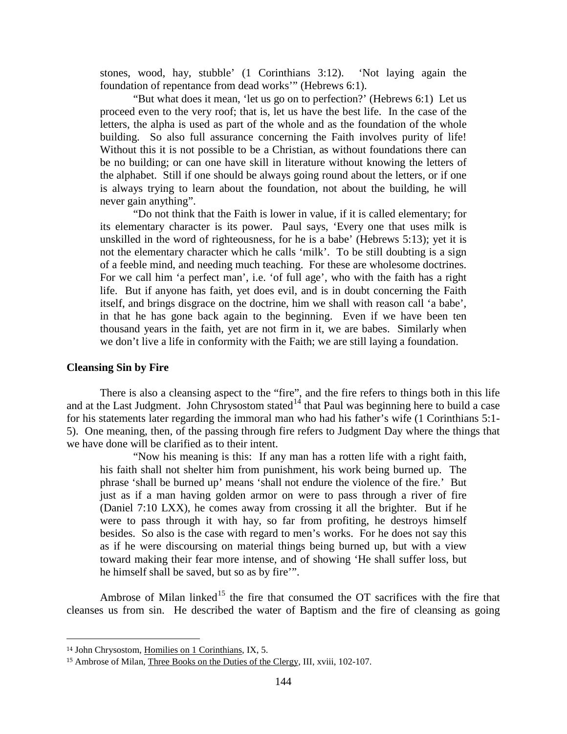stones, wood, hay, stubble' (1 Corinthians 3:12). 'Not laying again the foundation of repentance from dead works'" (Hebrews 6:1).

"But what does it mean, 'let us go on to perfection?' (Hebrews 6:1) Let us proceed even to the very roof; that is, let us have the best life. In the case of the letters, the alpha is used as part of the whole and as the foundation of the whole building. So also full assurance concerning the Faith involves purity of life! Without this it is not possible to be a Christian, as without foundations there can be no building; or can one have skill in literature without knowing the letters of the alphabet. Still if one should be always going round about the letters, or if one is always trying to learn about the foundation, not about the building, he will never gain anything".

"Do not think that the Faith is lower in value, if it is called elementary; for its elementary character is its power. Paul says, 'Every one that uses milk is unskilled in the word of righteousness, for he is a babe' (Hebrews 5:13); yet it is not the elementary character which he calls 'milk'. To be still doubting is a sign of a feeble mind, and needing much teaching. For these are wholesome doctrines. For we call him 'a perfect man', i.e. 'of full age', who with the faith has a right life. But if anyone has faith, yet does evil, and is in doubt concerning the Faith itself, and brings disgrace on the doctrine, him we shall with reason call 'a babe', in that he has gone back again to the beginning. Even if we have been ten thousand years in the faith, yet are not firm in it, we are babes. Similarly when we don't live a life in conformity with the Faith; we are still laying a foundation.

#### <span id="page-6-0"></span>**Cleansing Sin by Fire**

There is also a cleansing aspect to the "fire", and the fire refers to things both in this life and at the Last Judgment. John Chrysostom stated<sup> $14$ </sup> that Paul was beginning here to build a case for his statements later regarding the immoral man who had his father's wife (1 Corinthians 5:1- 5). One meaning, then, of the passing through fire refers to Judgment Day where the things that we have done will be clarified as to their intent.

"Now his meaning is this: If any man has a rotten life with a right faith, his faith shall not shelter him from punishment, his work being burned up. The phrase 'shall be burned up' means 'shall not endure the violence of the fire.' But just as if a man having golden armor on were to pass through a river of fire (Daniel 7:10 LXX), he comes away from crossing it all the brighter. But if he were to pass through it with hay, so far from profiting, he destroys himself besides. So also is the case with regard to men's works. For he does not say this as if he were discoursing on material things being burned up, but with a view toward making their fear more intense, and of showing 'He shall suffer loss, but he himself shall be saved, but so as by fire'".

Ambrose of Milan linked<sup>[15](#page-6-2)</sup> the fire that consumed the OT sacrifices with the fire that cleanses us from sin. He described the water of Baptism and the fire of cleansing as going

<span id="page-6-1"></span><sup>14</sup> John Chrysostom, Homilies on 1 Corinthians, IX, 5.

<span id="page-6-2"></span><sup>15</sup> Ambrose of Milan, Three Books on the Duties of the Clergy, III, xviii, 102-107.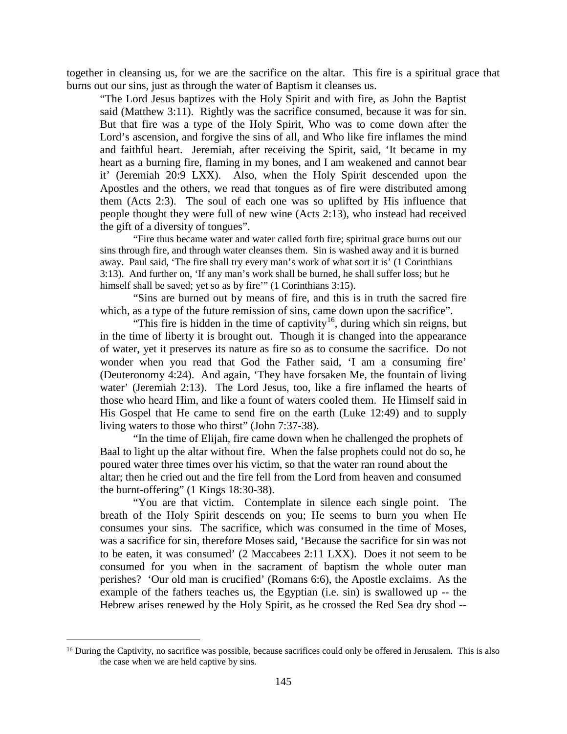together in cleansing us, for we are the sacrifice on the altar. This fire is a spiritual grace that burns out our sins, just as through the water of Baptism it cleanses us.

"The Lord Jesus baptizes with the Holy Spirit and with fire, as John the Baptist said (Matthew 3:11). Rightly was the sacrifice consumed, because it was for sin. But that fire was a type of the Holy Spirit, Who was to come down after the Lord's ascension, and forgive the sins of all, and Who like fire inflames the mind and faithful heart. Jeremiah, after receiving the Spirit, said, 'It became in my heart as a burning fire, flaming in my bones, and I am weakened and cannot bear it' (Jeremiah 20:9 LXX). Also, when the Holy Spirit descended upon the Apostles and the others, we read that tongues as of fire were distributed among them (Acts 2:3). The soul of each one was so uplifted by His influence that people thought they were full of new wine (Acts 2:13), who instead had received the gift of a diversity of tongues".

"Fire thus became water and water called forth fire; spiritual grace burns out our sins through fire, and through water cleanses them. Sin is washed away and it is burned away. Paul said, 'The fire shall try every man's work of what sort it is' (1 Corinthians 3:13). And further on, 'If any man's work shall be burned, he shall suffer loss; but he himself shall be saved; yet so as by fire" (1 Corinthians 3:15).

"Sins are burned out by means of fire, and this is in truth the sacred fire which, as a type of the future remission of sins, came down upon the sacrifice".

"This fire is hidden in the time of captivity<sup>16</sup>, during which sin reigns, but in the time of liberty it is brought out. Though it is changed into the appearance of water, yet it preserves its nature as fire so as to consume the sacrifice. Do not wonder when you read that God the Father said, 'I am a consuming fire' (Deuteronomy 4:24). And again, 'They have forsaken Me, the fountain of living water' (Jeremiah 2:13). The Lord Jesus, too, like a fire inflamed the hearts of those who heard Him, and like a fount of waters cooled them. He Himself said in His Gospel that He came to send fire on the earth (Luke 12:49) and to supply living waters to those who thirst" (John 7:37-38).

"In the time of Elijah, fire came down when he challenged the prophets of Baal to light up the altar without fire. When the false prophets could not do so, he poured water three times over his victim, so that the water ran round about the altar; then he cried out and the fire fell from the Lord from heaven and consumed the burnt-offering" (1 Kings 18:30-38).

"You are that victim. Contemplate in silence each single point. The breath of the Holy Spirit descends on you; He seems to burn you when He consumes your sins. The sacrifice, which was consumed in the time of Moses, was a sacrifice for sin, therefore Moses said, 'Because the sacrifice for sin was not to be eaten, it was consumed' (2 Maccabees 2:11 LXX). Does it not seem to be consumed for you when in the sacrament of baptism the whole outer man perishes? 'Our old man is crucified' (Romans 6:6), the Apostle exclaims. As the example of the fathers teaches us, the Egyptian (i.e. sin) is swallowed up -- the Hebrew arises renewed by the Holy Spirit, as he crossed the Red Sea dry shod --

<span id="page-7-0"></span><sup>&</sup>lt;sup>16</sup> During the Captivity, no sacrifice was possible, because sacrifices could only be offered in Jerusalem. This is also the case when we are held captive by sins.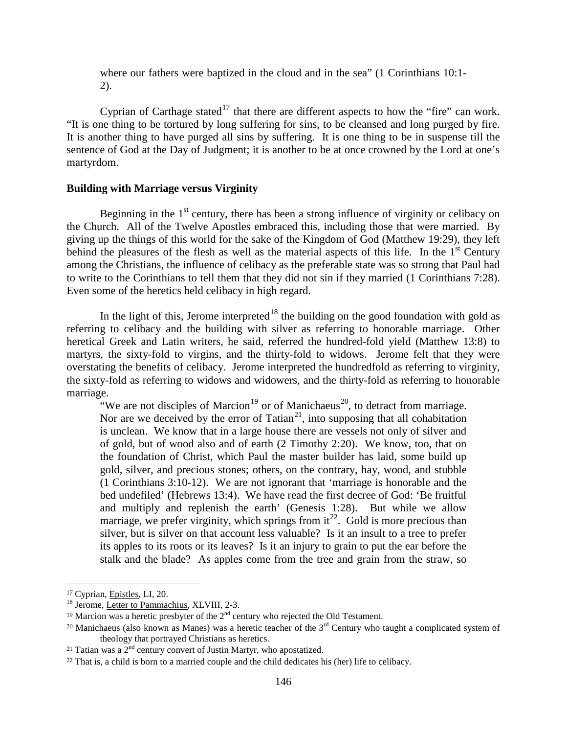where our fathers were baptized in the cloud and in the sea" (1 Corinthians 10:1- 2).

Cyprian of Carthage stated<sup>[17](#page-8-1)</sup> that there are different aspects to how the "fire" can work. "It is one thing to be tortured by long suffering for sins, to be cleansed and long purged by fire. It is another thing to have purged all sins by suffering. It is one thing to be in suspense till the sentence of God at the Day of Judgment; it is another to be at once crowned by the Lord at one's martyrdom.

#### <span id="page-8-0"></span>**Building with Marriage versus Virginity**

Beginning in the  $1<sup>st</sup>$  century, there has been a strong influence of virginity or celibacy on the Church. All of the Twelve Apostles embraced this, including those that were married. By giving up the things of this world for the sake of the Kingdom of God (Matthew 19:29), they left behind the pleasures of the flesh as well as the material aspects of this life. In the  $1<sup>st</sup>$  Century among the Christians, the influence of celibacy as the preferable state was so strong that Paul had to write to the Corinthians to tell them that they did not sin if they married (1 Corinthians 7:28). Even some of the heretics held celibacy in high regard.

In the light of this, Jerome interpreted<sup>[18](#page-8-2)</sup> the building on the good foundation with gold as referring to celibacy and the building with silver as referring to honorable marriage. Other heretical Greek and Latin writers, he said, referred the hundred-fold yield (Matthew 13:8) to martyrs, the sixty-fold to virgins, and the thirty-fold to widows. Jerome felt that they were overstating the benefits of celibacy. Jerome interpreted the hundredfold as referring to virginity, the sixty-fold as referring to widows and widowers, and the thirty-fold as referring to honorable marriage.

"We are not disciples of Marcion<sup>[19](#page-8-3)</sup> or of Manichaeus<sup>[20](#page-8-4)</sup>, to detract from marriage. Nor are we deceived by the error of Tatian<sup>[21](#page-8-5)</sup>, into supposing that all cohabitation is unclean. We know that in a large house there are vessels not only of silver and of gold, but of wood also and of earth (2 Timothy 2:20). We know, too, that on the foundation of Christ, which Paul the master builder has laid, some build up gold, silver, and precious stones; others, on the contrary, hay, wood, and stubble (1 Corinthians 3:10-12). We are not ignorant that 'marriage is honorable and the bed undefiled' (Hebrews 13:4). We have read the first decree of God: 'Be fruitful and multiply and replenish the earth' (Genesis 1:28). But while we allow marriage, we prefer virginity, which springs from  $it^{22}$ . Gold is more precious than silver, but is silver on that account less valuable? Is it an insult to a tree to prefer its apples to its roots or its leaves? Is it an injury to grain to put the ear before the stalk and the blade? As apples come from the tree and grain from the straw, so

<span id="page-8-1"></span><sup>&</sup>lt;sup>17</sup> Cyprian, *Epistles*, *LI*, 20. <sup>18</sup> Jerome, Letter to Pammachius, *XLVIII*, 2-3.

<span id="page-8-3"></span><span id="page-8-2"></span><sup>&</sup>lt;sup>19</sup> Marcion was a heretic presbyter of the  $2<sup>nd</sup>$  century who rejected the Old Testament.

<span id="page-8-4"></span><sup>&</sup>lt;sup>20</sup> Manichaeus (also known as Manes) was a heretic teacher of the  $3<sup>rd</sup>$  Century who taught a complicated system of theology that portrayed Christians as heretics.

<span id="page-8-5"></span><sup>&</sup>lt;sup>21</sup> Tatian was a  $2<sup>nd</sup>$  century convert of Justin Martyr, who apostatized.

<span id="page-8-6"></span><sup>22</sup> That is, a child is born to a married couple and the child dedicates his (her) life to celibacy.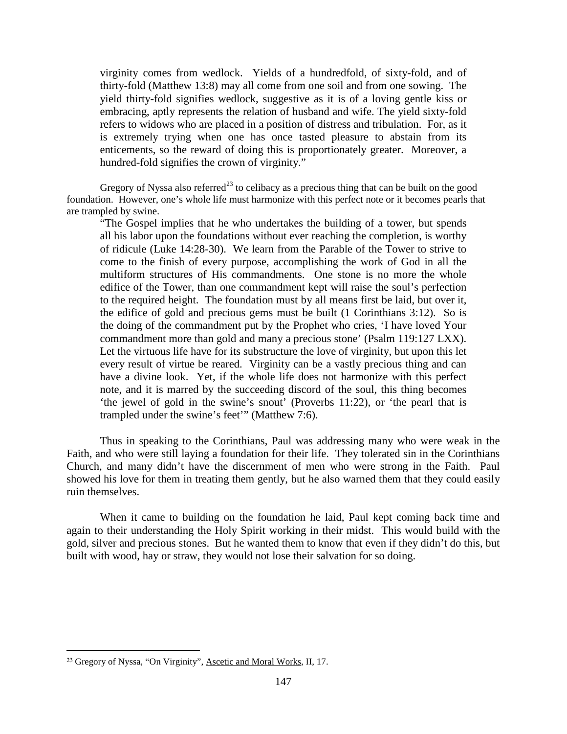virginity comes from wedlock. Yields of a hundredfold, of sixty-fold, and of thirty-fold (Matthew 13:8) may all come from one soil and from one sowing. The yield thirty-fold signifies wedlock, suggestive as it is of a loving gentle kiss or embracing, aptly represents the relation of husband and wife. The yield sixty-fold refers to widows who are placed in a position of distress and tribulation. For, as it is extremely trying when one has once tasted pleasure to abstain from its enticements, so the reward of doing this is proportionately greater. Moreover, a hundred-fold signifies the crown of virginity."

Gregory of Nyssa also referred<sup>[23](#page-9-0)</sup> to celibacy as a precious thing that can be built on the good foundation. However, one's whole life must harmonize with this perfect note or it becomes pearls that are trampled by swine.

"The Gospel implies that he who undertakes the building of a tower, but spends all his labor upon the foundations without ever reaching the completion, is worthy of ridicule (Luke 14:28-30). We learn from the Parable of the Tower to strive to come to the finish of every purpose, accomplishing the work of God in all the multiform structures of His commandments. One stone is no more the whole edifice of the Tower, than one commandment kept will raise the soul's perfection to the required height. The foundation must by all means first be laid, but over it, the edifice of gold and precious gems must be built (1 Corinthians 3:12). So is the doing of the commandment put by the Prophet who cries, 'I have loved Your commandment more than gold and many a precious stone' (Psalm 119:127 LXX). Let the virtuous life have for its substructure the love of virginity, but upon this let every result of virtue be reared. Virginity can be a vastly precious thing and can have a divine look. Yet, if the whole life does not harmonize with this perfect note, and it is marred by the succeeding discord of the soul, this thing becomes 'the jewel of gold in the swine's snout' (Proverbs 11:22), or 'the pearl that is trampled under the swine's feet'" (Matthew 7:6).

Thus in speaking to the Corinthians, Paul was addressing many who were weak in the Faith, and who were still laying a foundation for their life. They tolerated sin in the Corinthians Church, and many didn't have the discernment of men who were strong in the Faith. Paul showed his love for them in treating them gently, but he also warned them that they could easily ruin themselves.

When it came to building on the foundation he laid, Paul kept coming back time and again to their understanding the Holy Spirit working in their midst. This would build with the gold, silver and precious stones. But he wanted them to know that even if they didn't do this, but built with wood, hay or straw, they would not lose their salvation for so doing.

<span id="page-9-0"></span><sup>23</sup> Gregory of Nyssa, "On Virginity", Ascetic and Moral Works, II, 17.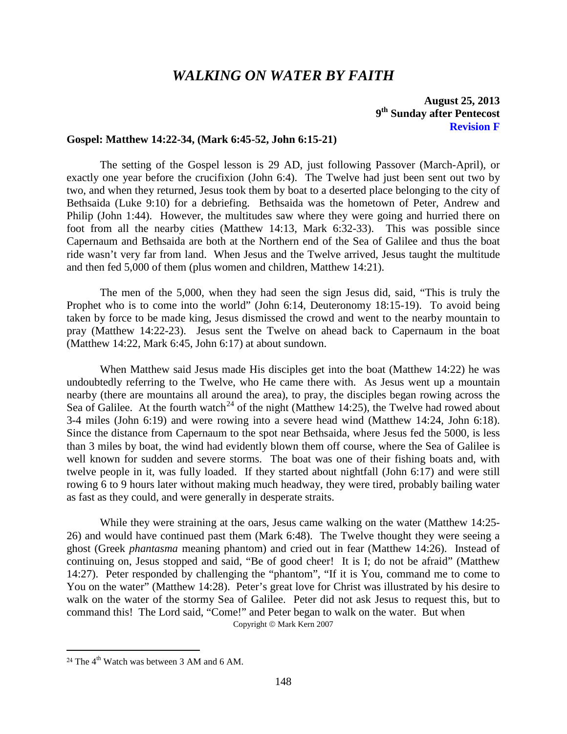## *WALKING ON WATER BY FAITH*

## **August 25, 2013 9th Sunday after Pentecost Revision F**

#### <span id="page-10-0"></span>**Gospel: Matthew 14:22-34, (Mark 6:45-52, John 6:15-21)**

The setting of the Gospel lesson is 29 AD, just following Passover (March-April), or exactly one year before the crucifixion (John 6:4). The Twelve had just been sent out two by two, and when they returned, Jesus took them by boat to a deserted place belonging to the city of Bethsaida (Luke 9:10) for a debriefing. Bethsaida was the hometown of Peter, Andrew and Philip (John 1:44). However, the multitudes saw where they were going and hurried there on foot from all the nearby cities (Matthew 14:13, Mark 6:32-33). This was possible since Capernaum and Bethsaida are both at the Northern end of the Sea of Galilee and thus the boat ride wasn't very far from land. When Jesus and the Twelve arrived, Jesus taught the multitude and then fed 5,000 of them (plus women and children, Matthew 14:21).

The men of the 5,000, when they had seen the sign Jesus did, said, "This is truly the Prophet who is to come into the world" (John 6:14, Deuteronomy 18:15-19). To avoid being taken by force to be made king, Jesus dismissed the crowd and went to the nearby mountain to pray (Matthew 14:22-23). Jesus sent the Twelve on ahead back to Capernaum in the boat (Matthew 14:22, Mark 6:45, John 6:17) at about sundown.

When Matthew said Jesus made His disciples get into the boat (Matthew 14:22) he was undoubtedly referring to the Twelve, who He came there with. As Jesus went up a mountain nearby (there are mountains all around the area), to pray, the disciples began rowing across the Sea of Galilee. At the fourth watch<sup>[24](#page-10-1)</sup> of the night (Matthew 14:25), the Twelve had rowed about 3-4 miles (John 6:19) and were rowing into a severe head wind (Matthew 14:24, John 6:18). Since the distance from Capernaum to the spot near Bethsaida, where Jesus fed the 5000, is less than 3 miles by boat, the wind had evidently blown them off course, where the Sea of Galilee is well known for sudden and severe storms. The boat was one of their fishing boats and, with twelve people in it, was fully loaded. If they started about nightfall (John 6:17) and were still rowing 6 to 9 hours later without making much headway, they were tired, probably bailing water as fast as they could, and were generally in desperate straits.

While they were straining at the oars, Jesus came walking on the water (Matthew 14:25-26) and would have continued past them (Mark 6:48). The Twelve thought they were seeing a ghost (Greek *phantasma* meaning phantom) and cried out in fear (Matthew 14:26). Instead of continuing on, Jesus stopped and said, "Be of good cheer! It is I; do not be afraid" (Matthew 14:27). Peter responded by challenging the "phantom", "If it is You, command me to come to You on the water" (Matthew 14:28). Peter's great love for Christ was illustrated by his desire to walk on the water of the stormy Sea of Galilee. Peter did not ask Jesus to request this, but to command this! The Lord said, "Come!" and Peter began to walk on the water. But when Copyright  $\odot$  Mark Kern 2007

<span id="page-10-1"></span><sup>&</sup>lt;sup>24</sup> The  $4<sup>th</sup>$  Watch was between 3 AM and 6 AM.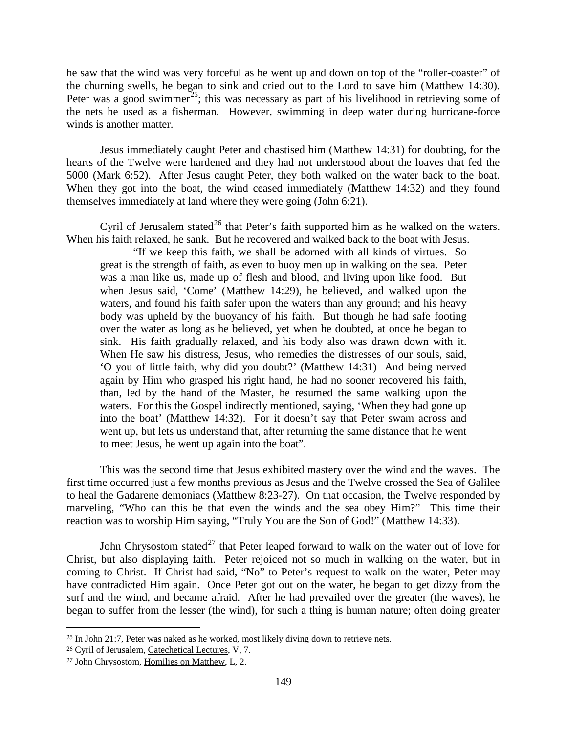he saw that the wind was very forceful as he went up and down on top of the "roller-coaster" of the churning swells, he began to sink and cried out to the Lord to save him (Matthew 14:30). Peter was a good swimmer<sup>25</sup>; this was necessary as part of his livelihood in retrieving some of the nets he used as a fisherman. However, swimming in deep water during hurricane-force winds is another matter.

Jesus immediately caught Peter and chastised him (Matthew 14:31) for doubting, for the hearts of the Twelve were hardened and they had not understood about the loaves that fed the 5000 (Mark 6:52). After Jesus caught Peter, they both walked on the water back to the boat. When they got into the boat, the wind ceased immediately (Matthew 14:32) and they found themselves immediately at land where they were going (John 6:21).

Cyril of Jerusalem stated<sup>[26](#page-11-1)</sup> that Peter's faith supported him as he walked on the waters. When his faith relaxed, he sank. But he recovered and walked back to the boat with Jesus.

"If we keep this faith, we shall be adorned with all kinds of virtues. So great is the strength of faith, as even to buoy men up in walking on the sea. Peter was a man like us, made up of flesh and blood, and living upon like food. But when Jesus said, 'Come' (Matthew 14:29), he believed, and walked upon the waters, and found his faith safer upon the waters than any ground; and his heavy body was upheld by the buoyancy of his faith. But though he had safe footing over the water as long as he believed, yet when he doubted, at once he began to sink. His faith gradually relaxed, and his body also was drawn down with it. When He saw his distress, Jesus, who remedies the distresses of our souls, said, 'O you of little faith, why did you doubt?' (Matthew 14:31) And being nerved again by Him who grasped his right hand, he had no sooner recovered his faith, than, led by the hand of the Master, he resumed the same walking upon the waters. For this the Gospel indirectly mentioned, saying, 'When they had gone up into the boat' (Matthew 14:32). For it doesn't say that Peter swam across and went up, but lets us understand that, after returning the same distance that he went to meet Jesus, he went up again into the boat".

This was the second time that Jesus exhibited mastery over the wind and the waves. The first time occurred just a few months previous as Jesus and the Twelve crossed the Sea of Galilee to heal the Gadarene demoniacs (Matthew 8:23-27). On that occasion, the Twelve responded by marveling, "Who can this be that even the winds and the sea obey Him?" This time their reaction was to worship Him saying, "Truly You are the Son of God!" (Matthew 14:33).

John Chrysostom stated<sup>[27](#page-11-2)</sup> that Peter leaped forward to walk on the water out of love for Christ, but also displaying faith. Peter rejoiced not so much in walking on the water, but in coming to Christ. If Christ had said, "No" to Peter's request to walk on the water, Peter may have contradicted Him again. Once Peter got out on the water, he began to get dizzy from the surf and the wind, and became afraid. After he had prevailed over the greater (the waves), he began to suffer from the lesser (the wind), for such a thing is human nature; often doing greater

<span id="page-11-0"></span> $25$  In John 21:7, Peter was naked as he worked, most likely diving down to retrieve nets.

<span id="page-11-1"></span><sup>26</sup> Cyril of Jerusalem, Catechetical Lectures, V, 7.

<span id="page-11-2"></span><sup>27</sup> John Chrysostom, Homilies on Matthew, L, 2.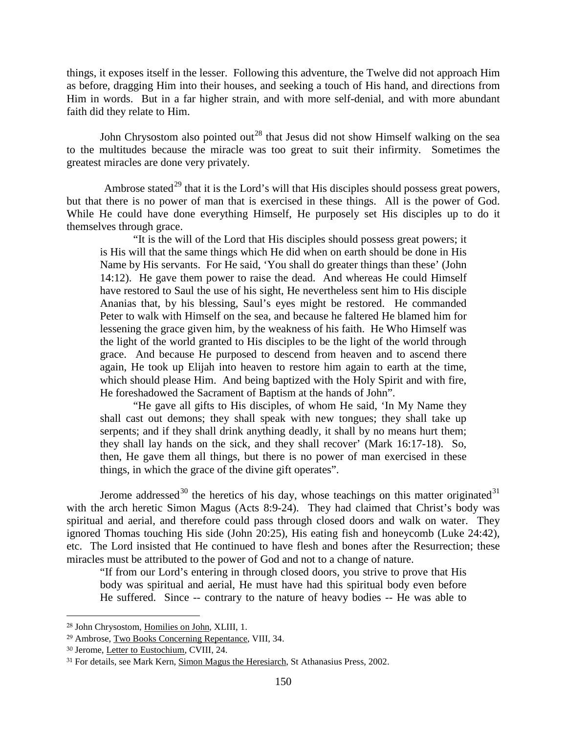things, it exposes itself in the lesser. Following this adventure, the Twelve did not approach Him as before, dragging Him into their houses, and seeking a touch of His hand, and directions from Him in words. But in a far higher strain, and with more self-denial, and with more abundant faith did they relate to Him.

John Chrysostom also pointed out<sup>[28](#page-12-0)</sup> that Jesus did not show Himself walking on the sea to the multitudes because the miracle was too great to suit their infirmity. Sometimes the greatest miracles are done very privately.

Ambrose stated<sup>[29](#page-12-1)</sup> that it is the Lord's will that His disciples should possess great powers, but that there is no power of man that is exercised in these things. All is the power of God. While He could have done everything Himself, He purposely set His disciples up to do it themselves through grace.

"It is the will of the Lord that His disciples should possess great powers; it is His will that the same things which He did when on earth should be done in His Name by His servants. For He said, 'You shall do greater things than these' (John 14:12). He gave them power to raise the dead. And whereas He could Himself have restored to Saul the use of his sight, He nevertheless sent him to His disciple Ananias that, by his blessing, Saul's eyes might be restored. He commanded Peter to walk with Himself on the sea, and because he faltered He blamed him for lessening the grace given him, by the weakness of his faith. He Who Himself was the light of the world granted to His disciples to be the light of the world through grace. And because He purposed to descend from heaven and to ascend there again, He took up Elijah into heaven to restore him again to earth at the time, which should please Him. And being baptized with the Holy Spirit and with fire, He foreshadowed the Sacrament of Baptism at the hands of John".

"He gave all gifts to His disciples, of whom He said, 'In My Name they shall cast out demons; they shall speak with new tongues; they shall take up serpents; and if they shall drink anything deadly, it shall by no means hurt them; they shall lay hands on the sick, and they shall recover' (Mark 16:17-18). So, then, He gave them all things, but there is no power of man exercised in these things, in which the grace of the divine gift operates".

Jerome addressed<sup>[30](#page-12-2)</sup> the heretics of his day, whose teachings on this matter originated<sup>[31](#page-12-3)</sup> with the arch heretic Simon Magus (Acts 8:9-24). They had claimed that Christ's body was spiritual and aerial, and therefore could pass through closed doors and walk on water. They ignored Thomas touching His side (John 20:25), His eating fish and honeycomb (Luke 24:42), etc. The Lord insisted that He continued to have flesh and bones after the Resurrection; these miracles must be attributed to the power of God and not to a change of nature.

"If from our Lord's entering in through closed doors, you strive to prove that His body was spiritual and aerial, He must have had this spiritual body even before He suffered. Since -- contrary to the nature of heavy bodies -- He was able to

<span id="page-12-0"></span><sup>28</sup> John Chrysostom, Homilies on John, XLIII, 1.

<span id="page-12-1"></span><sup>29</sup> Ambrose, Two Books Concerning Repentance, VIII, 34.

<span id="page-12-2"></span><sup>30</sup> Jerome, Letter to Eustochium, CVIII, 24.

<span id="page-12-3"></span><sup>31</sup> For details, see Mark Kern, Simon Magus the Heresiarch, St Athanasius Press, 2002.